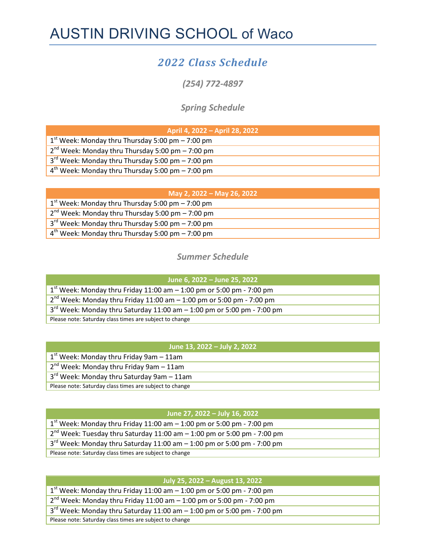# AUSTIN DRIVING SCHOOL of Waco

# 2022 Class Schedule

(254) 772-4897

## Spring Schedule

| April 4, 2022 - April 28, 2022                       |
|------------------------------------------------------|
| $1st$ Week: Monday thru Thursday 5:00 pm $-$ 7:00 pm |
| $2nd$ Week: Monday thru Thursday 5:00 pm – 7:00 pm   |
| $3rd$ Week: Monday thru Thursday 5:00 pm $-$ 7:00 pm |
| $4th$ Week: Monday thru Thursday 5:00 pm – 7:00 pm   |

| May 2, 2022 – May 26, 2022                           |
|------------------------------------------------------|
| $1st$ Week: Monday thru Thursday 5:00 pm – 7:00 pm   |
| $2nd$ Week: Monday thru Thursday 5:00 pm – 7:00 pm   |
| $3rd$ Week: Monday thru Thursday 5:00 pm $-$ 7:00 pm |
| $4th$ Week: Monday thru Thursday 5:00 pm – 7:00 pm   |

### Summer Schedule

| June 6, 2022 – June 25, 2022                                                  |
|-------------------------------------------------------------------------------|
| $1st$ Week: Monday thru Friday 11:00 am $-$ 1:00 pm or 5:00 pm - 7:00 pm      |
| $2nd$ Week: Monday thru Friday 11:00 am $-$ 1:00 pm or 5:00 pm - 7:00 pm      |
| $3^{rd}$ Week: Monday thru Saturday 11:00 am $-$ 1:00 pm or 5:00 pm - 7:00 pm |
| Please note: Saturday class times are subject to change                       |

| June 13, 2022 - July 2, 2022                            |
|---------------------------------------------------------|
| $1st$ Week: Monday thru Friday 9am $-11$ am             |
| $2^{nd}$ Week: Monday thru Friday 9am $-11$ am          |
| $3rd$ Week: Monday thru Saturday 9am - 11am             |
| Please note: Saturday class times are subject to change |

### June 27, 2022 – July 16, 2022

| $1st$ Week: Monday thru Friday 11:00 am $-$ 1:00 pm or 5:00 pm - 7:00 pm    |
|-----------------------------------------------------------------------------|
| $2nd$ Week: Tuesday thru Saturday 11:00 am $-$ 1:00 pm or 5:00 pm - 7:00 pm |
| $3rd$ Week: Monday thru Saturday 11:00 am $-$ 1:00 pm or 5:00 pm - 7:00 pm  |
| Please note: Saturday class times are subject to change                     |

| July 25, 2022 - August 13, 2022                                               |
|-------------------------------------------------------------------------------|
| $1st$ Week: Monday thru Friday 11:00 am $-$ 1:00 pm or 5:00 pm - 7:00 pm      |
| $2^{nd}$ Week: Monday thru Friday 11:00 am $-$ 1:00 pm or 5:00 pm - 7:00 pm   |
| $3^{rd}$ Week: Monday thru Saturday 11:00 am $-$ 1:00 pm or 5:00 pm - 7:00 pm |
| Please note: Saturday class times are subject to change                       |